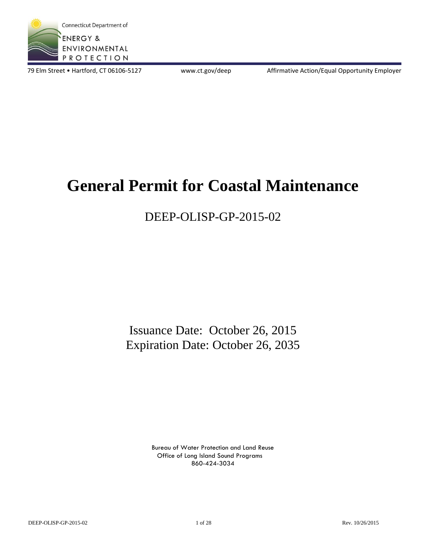

79 Elm Street • Hartford, CT 06106-5127 www.ct.gov/deep Affirmative Action/Equal Opportunity Employer

# **General Permit for Coastal Maintenance**

## DEEP-OLISP-GP-2015-02

Issuance Date: October 26, 2015 Expiration Date: October 26, 2035

> Bureau of Water Protection and Land Reuse Office of Long Island Sound Programs 860-424-3034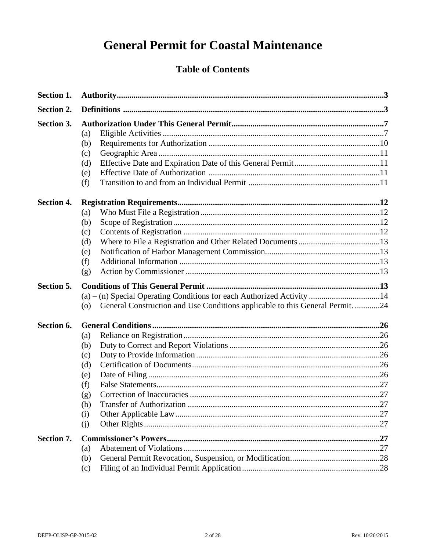## **General Permit for Coastal Maintenance**

## **Table of Contents**

| Section 1.        |                                                                                                                                                                |  |
|-------------------|----------------------------------------------------------------------------------------------------------------------------------------------------------------|--|
| Section 2.        |                                                                                                                                                                |  |
| Section 3.        | (a)<br>(b)<br>(c)<br>(d)<br>(e)<br>(f)                                                                                                                         |  |
| <b>Section 4.</b> | (a)<br>(b)<br>(c)<br>(d)<br>(e)<br>(f)<br>(g)                                                                                                                  |  |
| Section 5.        | (a) - (n) Special Operating Conditions for each Authorized Activity 14<br>General Construction and Use Conditions applicable to this General Permit. 24<br>(0) |  |
| Section 6.        | (a)<br>(b)<br>(c)<br>(d)<br>(e)<br>(f)<br>(g)<br>(h)<br>(i)<br>(j)                                                                                             |  |
| Section 7.        | (a)<br>(b)<br>(c)                                                                                                                                              |  |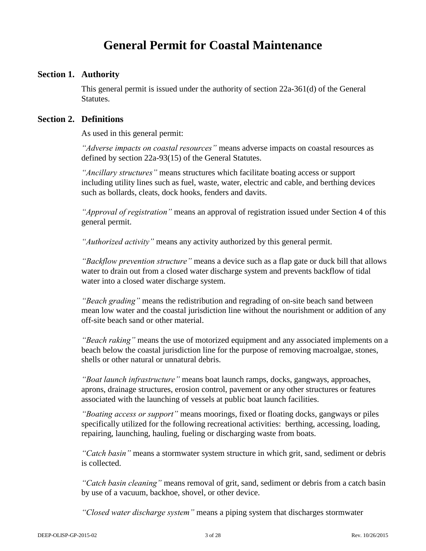## **General Permit for Coastal Maintenance**

#### **Section 1. Authority**

This general permit is issued under the authority of section 22a-361(d) of the General Statutes.

## **Section 2. Definitions**

As used in this general permit:

*"Adverse impacts on coastal resources"* means adverse impacts on coastal resources as defined by section 22a-93(15) of the General Statutes.

*"Ancillary structures"* means structures which facilitate boating access or support including utility lines such as fuel, waste, water, electric and cable, and berthing devices such as bollards, cleats, dock hooks, fenders and davits.

*"Approval of registration"* means an approval of registration issued under Section 4 of this general permit.

*"Authorized activity"* means any activity authorized by this general permit.

*"Backflow prevention structure"* means a device such as a flap gate or duck bill that allows water to drain out from a closed water discharge system and prevents backflow of tidal water into a closed water discharge system.

*"Beach grading"* means the redistribution and regrading of on-site beach sand between mean low water and the coastal jurisdiction line without the nourishment or addition of any off-site beach sand or other material.

*"Beach raking"* means the use of motorized equipment and any associated implements on a beach below the coastal jurisdiction line for the purpose of removing macroalgae, stones, shells or other natural or unnatural debris.

*"Boat launch infrastructure"* means boat launch ramps, docks, gangways, approaches, aprons, drainage structures, erosion control, pavement or any other structures or features associated with the launching of vessels at public boat launch facilities.

*"Boating access or support"* means moorings, fixed or floating docks, gangways or piles specifically utilized for the following recreational activities: berthing, accessing, loading, repairing, launching, hauling, fueling or discharging waste from boats.

*"Catch basin"* means a stormwater system structure in which grit, sand, sediment or debris is collected.

*"Catch basin cleaning"* means removal of grit, sand, sediment or debris from a catch basin by use of a vacuum, backhoe, shovel, or other device.

*"Closed water discharge system"* means a piping system that discharges stormwater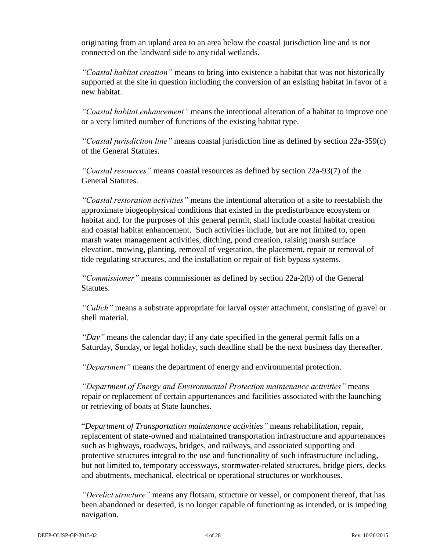originating from an upland area to an area below the coastal jurisdiction line and is not connected on the landward side to any tidal wetlands.

*"Coastal habitat creation"* means to bring into existence a habitat that was not historically supported at the site in question including the conversion of an existing habitat in favor of a new habitat.

*"Coastal habitat enhancement"* means the intentional alteration of a habitat to improve one or a very limited number of functions of the existing habitat type.

*"Coastal jurisdiction line"* means coastal jurisdiction line as defined by section 22a-359(c) of the General Statutes.

*"Coastal resources"* means coastal resources as defined by section 22a-93(7) of the General Statutes.

*"Coastal restoration activities"* means the intentional alteration of a site to reestablish the approximate biogeophysical conditions that existed in the predisturbance ecosystem or habitat and, for the purposes of this general permit, shall include coastal habitat creation and coastal habitat enhancement. Such activities include, but are not limited to, open marsh water management activities, ditching, pond creation, raising marsh surface elevation, mowing, planting, removal of vegetation, the placement, repair or removal of tide regulating structures, and the installation or repair of fish bypass systems.

*"Commissioner"* means commissioner as defined by section 22a-2(b) of the General Statutes.

*"Cultch"* means a substrate appropriate for larval oyster attachment, consisting of gravel or shell material.

*"Day"* means the calendar day; if any date specified in the general permit falls on a Saturday, Sunday, or legal holiday, such deadline shall be the next business day thereafter.

*"Department"* means the department of energy and environmental protection.

*"Department of Energy and Environmental Protection maintenance activities"* means repair or replacement of certain appurtenances and facilities associated with the launching or retrieving of boats at State launches.

"*Department of Transportation maintenance activities"* means rehabilitation, repair, replacement of state-owned and maintained transportation infrastructure and appurtenances such as highways, roadways, bridges, and railways, and associated supporting and protective structures integral to the use and functionality of such infrastructure including, but not limited to, temporary accessways, stormwater-related structures, bridge piers, decks and abutments, mechanical, electrical or operational structures or workhouses.

*"Derelict structure"* means any flotsam, structure or vessel, or component thereof, that has been abandoned or deserted, is no longer capable of functioning as intended, or is impeding navigation.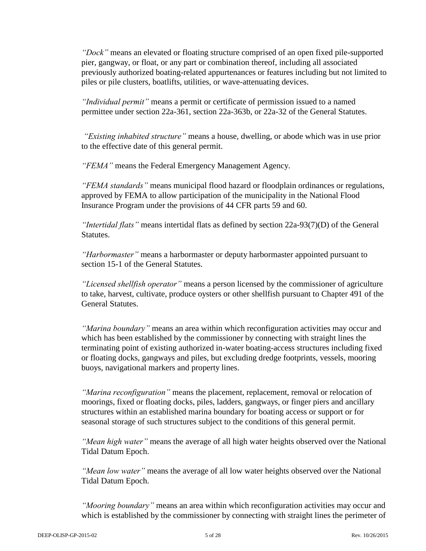*"Dock"* means an elevated or floating structure comprised of an open fixed pile-supported pier, gangway, or float, or any part or combination thereof, including all associated previously authorized boating-related appurtenances or features including but not limited to piles or pile clusters, boatlifts, utilities, or wave-attenuating devices.

*"Individual permit"* means a permit or certificate of permission issued to a named permittee under section 22a-361, section 22a-363b, or 22a-32 of the General Statutes.

*"Existing inhabited structure"* means a house, dwelling, or abode which was in use prior to the effective date of this general permit.

*"FEMA"* means the Federal Emergency Management Agency.

*"FEMA standards"* means municipal flood hazard or floodplain ordinances or regulations, approved by FEMA to allow participation of the municipality in the National Flood Insurance Program under the provisions of 44 CFR parts 59 and 60.

*"Intertidal flats"* means intertidal flats as defined by section 22a-93(7)(D) of the General Statutes.

*"Harbormaster"* means a harbormaster or deputy harbormaster appointed pursuant to section 15-1 of the General Statutes.

*"Licensed shellfish operator"* means a person licensed by the commissioner of agriculture to take, harvest, cultivate, produce oysters or other shellfish pursuant to Chapter 491 of the General Statutes.

*"Marina boundary"* means an area within which reconfiguration activities may occur and which has been established by the commissioner by connecting with straight lines the terminating point of existing authorized in-water boating-access structures including fixed or floating docks, gangways and piles, but excluding dredge footprints, vessels, mooring buoys, navigational markers and property lines.

*"Marina reconfiguration"* means the placement, replacement, removal or relocation of moorings, fixed or floating docks, piles, ladders, gangways, or finger piers and ancillary structures within an established marina boundary for boating access or support or for seasonal storage of such structures subject to the conditions of this general permit.

*"Mean high water"* means the average of all high water heights observed over the National Tidal Datum Epoch.

*"Mean low water"* means the average of all low water heights observed over the National Tidal Datum Epoch.

*"Mooring boundary"* means an area within which reconfiguration activities may occur and which is established by the commissioner by connecting with straight lines the perimeter of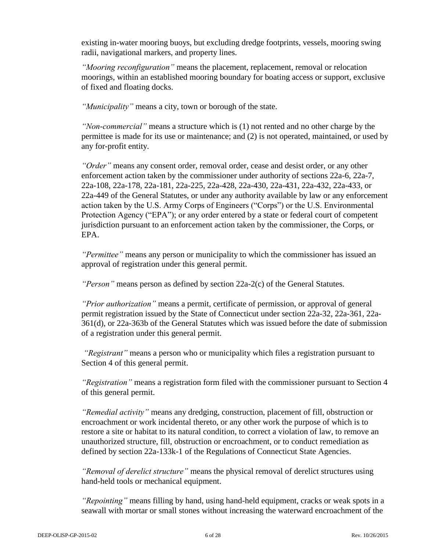existing in-water mooring buoys, but excluding dredge footprints, vessels, mooring swing radii, navigational markers, and property lines.

*"Mooring reconfiguration"* means the placement, replacement, removal or relocation moorings, within an established mooring boundary for boating access or support, exclusive of fixed and floating docks.

*"Municipality"* means a city, town or borough of the state.

*"Non-commercial"* means a structure which is (1) not rented and no other charge by the permittee is made for its use or maintenance; and (2) is not operated, maintained, or used by any for-profit entity.

*"Order"* means any consent order, removal order, cease and desist order, or any other enforcement action taken by the commissioner under authority of sections 22a-6, 22a-7, 22a-108, 22a-178, 22a-181, 22a-225, 22a-428, 22a-430, 22a-431, 22a-432, 22a-433, or 22a-449 of the General Statutes, or under any authority available by law or any enforcement action taken by the U.S. Army Corps of Engineers ("Corps") or the U.S. Environmental Protection Agency ("EPA"); or any order entered by a state or federal court of competent jurisdiction pursuant to an enforcement action taken by the commissioner, the Corps, or EPA.

*"Permittee"* means any person or municipality to which the commissioner has issued an approval of registration under this general permit.

*"Person"* means person as defined by section 22a-2(c) of the General Statutes.

*"Prior authorization"* means a permit, certificate of permission, or approval of general permit registration issued by the State of Connecticut under section 22a-32, 22a-361, 22a-361(d), or 22a-363b of the General Statutes which was issued before the date of submission of a registration under this general permit.

*"Registrant"* means a person who or municipality which files a registration pursuant to Section 4 of this general permit.

*"Registration"* means a registration form filed with the commissioner pursuant to Section 4 of this general permit.

*"Remedial activity"* means any dredging, construction, placement of fill, obstruction or encroachment or work incidental thereto, or any other work the purpose of which is to restore a site or habitat to its natural condition, to correct a violation of law, to remove an unauthorized structure, fill, obstruction or encroachment, or to conduct remediation as defined by section 22a-133k-1 of the Regulations of Connecticut State Agencies.

*"Removal of derelict structure"* means the physical removal of derelict structures using hand-held tools or mechanical equipment.

*"Repointing"* means filling by hand, using hand-held equipment, cracks or weak spots in a seawall with mortar or small stones without increasing the waterward encroachment of the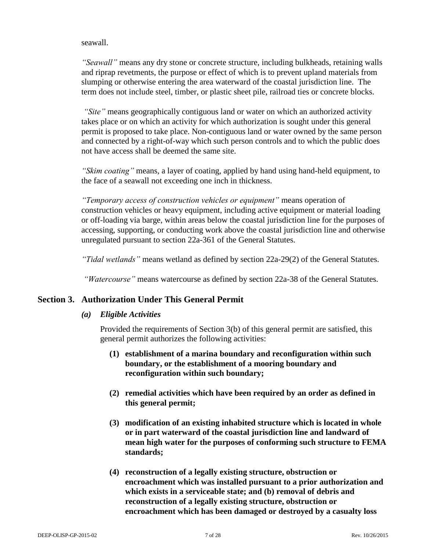#### seawall.

*"Seawall"* means any dry stone or concrete structure, including bulkheads, retaining walls and riprap revetments, the purpose or effect of which is to prevent upland materials from slumping or otherwise entering the area waterward of the coastal jurisdiction line. The term does not include steel, timber, or plastic sheet pile, railroad ties or concrete blocks.

*"Site"* means geographically contiguous land or water on which an authorized activity takes place or on which an activity for which authorization is sought under this general permit is proposed to take place. Non-contiguous land or water owned by the same person and connected by a right-of-way which such person controls and to which the public does not have access shall be deemed the same site.

*"Skim coating"* means, a layer of coating, applied by hand using hand-held equipment, to the face of a seawall not exceeding one inch in thickness.

*"Temporary access of construction vehicles or equipment"* means operation of construction vehicles or heavy equipment, including active equipment or material loading or off-loading via barge, within areas below the coastal jurisdiction line for the purposes of accessing, supporting, or conducting work above the coastal jurisdiction line and otherwise unregulated pursuant to section 22a-361 of the General Statutes.

*"Tidal wetlands"* means wetland as defined by section 22a-29(2) of the General Statutes.

*"Watercourse"* means watercourse as defined by section 22a-38 of the General Statutes.

## **Section 3. Authorization Under This General Permit**

## *(a) Eligible Activities*

Provided the requirements of Section 3(b) of this general permit are satisfied, this general permit authorizes the following activities:

- **(1) establishment of a marina boundary and reconfiguration within such boundary, or the establishment of a mooring boundary and reconfiguration within such boundary;**
- **(2) remedial activities which have been required by an order as defined in this general permit;**
- **(3) modification of an existing inhabited structure which is located in whole or in part waterward of the coastal jurisdiction line and landward of mean high water for the purposes of conforming such structure to FEMA standards;**
- **(4) reconstruction of a legally existing structure, obstruction or encroachment which was installed pursuant to a prior authorization and which exists in a serviceable state; and (b) removal of debris and reconstruction of a legally existing structure, obstruction or encroachment which has been damaged or destroyed by a casualty loss**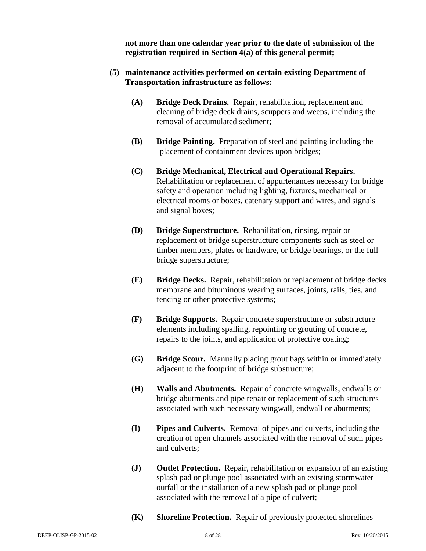**not more than one calendar year prior to the date of submission of the registration required in Section 4(a) of this general permit;** 

- **(5) maintenance activities performed on certain existing Department of Transportation infrastructure as follows:**
	- **(A) Bridge Deck Drains.** Repair, rehabilitation, replacement and cleaning of bridge deck drains, scuppers and weeps, including the removal of accumulated sediment;
	- **(B) Bridge Painting.** Preparation of steel and painting including the placement of containment devices upon bridges;
	- **(C) Bridge Mechanical, Electrical and Operational Repairs.**  Rehabilitation or replacement of appurtenances necessary for bridge safety and operation including lighting, fixtures, mechanical or electrical rooms or boxes, catenary support and wires, and signals and signal boxes;
	- **(D) Bridge Superstructure.** Rehabilitation, rinsing, repair or replacement of bridge superstructure components such as steel or timber members, plates or hardware, or bridge bearings, or the full bridge superstructure;
	- **(E) Bridge Decks.** Repair, rehabilitation or replacement of bridge decks membrane and bituminous wearing surfaces, joints, rails, ties, and fencing or other protective systems;
	- **(F) Bridge Supports.** Repair concrete superstructure or substructure elements including spalling, repointing or grouting of concrete, repairs to the joints, and application of protective coating;
	- **(G) Bridge Scour.** Manually placing grout bags within or immediately adjacent to the footprint of bridge substructure;
	- **(H) Walls and Abutments.** Repair of concrete wingwalls, endwalls or bridge abutments and pipe repair or replacement of such structures associated with such necessary wingwall, endwall or abutments;
	- **(I) Pipes and Culverts.** Removal of pipes and culverts, including the creation of open channels associated with the removal of such pipes and culverts;
	- **(J) Outlet Protection.** Repair, rehabilitation or expansion of an existing splash pad or plunge pool associated with an existing stormwater outfall or the installation of a new splash pad or plunge pool associated with the removal of a pipe of culvert;
	- **(K) Shoreline Protection.** Repair of previously protected shorelines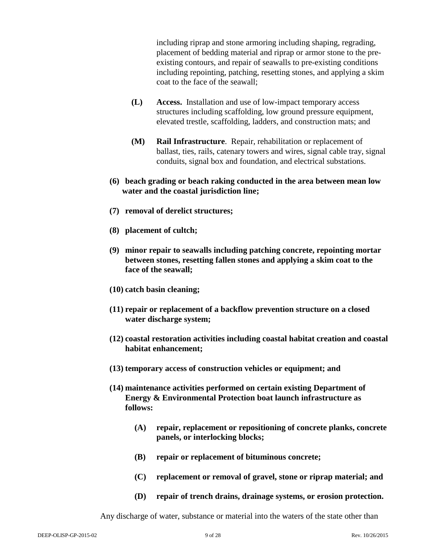including riprap and stone armoring including shaping, regrading, placement of bedding material and riprap or armor stone to the preexisting contours, and repair of seawalls to pre-existing conditions including repointing, patching, resetting stones, and applying a skim coat to the face of the seawall;

- **(L) Access.** Installation and use of low-impact temporary access structures including scaffolding, low ground pressure equipment, elevated trestle, scaffolding, ladders, and construction mats; and
- **(M) Rail Infrastructure**. Repair, rehabilitation or replacement of ballast, ties, rails, catenary towers and wires, signal cable tray, signal conduits, signal box and foundation, and electrical substations.
- **(6) beach grading or beach raking conducted in the area between mean low water and the coastal jurisdiction line;**
- **(7) removal of derelict structures;**
- **(8) placement of cultch;**
- **(9) minor repair to seawalls including patching concrete, repointing mortar between stones, resetting fallen stones and applying a skim coat to the face of the seawall;**
- **(10) catch basin cleaning;**
- **(11) repair or replacement of a backflow prevention structure on a closed water discharge system;**
- **(12) coastal restoration activities including coastal habitat creation and coastal habitat enhancement;**
- **(13) temporary access of construction vehicles or equipment; and**
- **(14) maintenance activities performed on certain existing Department of Energy & Environmental Protection boat launch infrastructure as follows:**
	- **(A) repair, replacement or repositioning of concrete planks, concrete panels, or interlocking blocks;**
	- **(B) repair or replacement of bituminous concrete;**
	- **(C) replacement or removal of gravel, stone or riprap material; and**
	- **(D) repair of trench drains, drainage systems, or erosion protection.**

Any discharge of water, substance or material into the waters of the state other than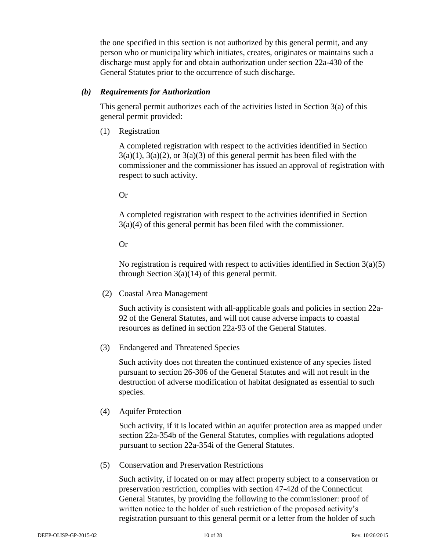the one specified in this section is not authorized by this general permit, and any person who or municipality which initiates, creates, originates or maintains such a discharge must apply for and obtain authorization under section 22a-430 of the General Statutes prior to the occurrence of such discharge.

#### *(b) Requirements for Authorization*

This general permit authorizes each of the activities listed in Section  $3(a)$  of this general permit provided:

(1) Registration

A completed registration with respect to the activities identified in Section  $3(a)(1)$ ,  $3(a)(2)$ , or  $3(a)(3)$  of this general permit has been filed with the commissioner and the commissioner has issued an approval of registration with respect to such activity.

#### Or

A completed registration with respect to the activities identified in Section 3(a)(4) of this general permit has been filed with the commissioner.

#### Or

No registration is required with respect to activities identified in Section 3(a)(5) through Section  $3(a)(14)$  of this general permit.

(2) Coastal Area Management

Such activity is consistent with all-applicable goals and policies in section 22a-92 of the General Statutes, and will not cause adverse impacts to coastal resources as defined in section 22a-93 of the General Statutes.

(3) Endangered and Threatened Species

Such activity does not threaten the continued existence of any species listed pursuant to section 26-306 of the General Statutes and will not result in the destruction of adverse modification of habitat designated as essential to such species.

(4) Aquifer Protection

Such activity, if it is located within an aquifer protection area as mapped under section 22a-354b of the General Statutes, complies with regulations adopted pursuant to section 22a-354i of the General Statutes.

(5) Conservation and Preservation Restrictions

Such activity, if located on or may affect property subject to a conservation or preservation restriction, complies with section 47-42d of the Connecticut General Statutes, by providing the following to the commissioner: proof of written notice to the holder of such restriction of the proposed activity's registration pursuant to this general permit or a letter from the holder of such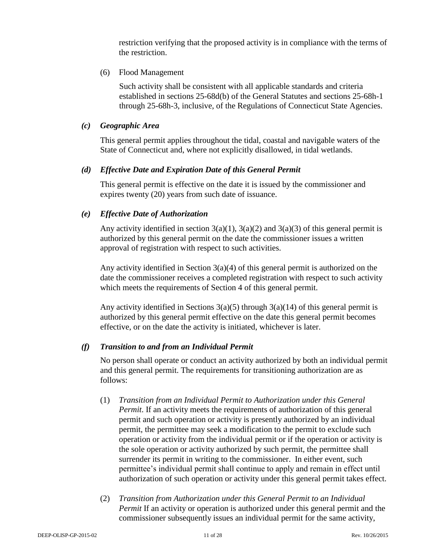restriction verifying that the proposed activity is in compliance with the terms of the restriction.

(6) Flood Management

Such activity shall be consistent with all applicable standards and criteria established in sections 25-68d(b) of the General Statutes and sections 25-68h-1 through 25-68h-3, inclusive, of the Regulations of Connecticut State Agencies.

#### *(c) Geographic Area*

This general permit applies throughout the tidal, coastal and navigable waters of the State of Connecticut and, where not explicitly disallowed, in tidal wetlands.

## *(d) Effective Date and Expiration Date of this General Permit*

This general permit is effective on the date it is issued by the commissioner and expires twenty (20) years from such date of issuance.

## *(e) Effective Date of Authorization*

Any activity identified in section  $3(a)(1)$ ,  $3(a)(2)$  and  $3(a)(3)$  of this general permit is authorized by this general permit on the date the commissioner issues a written approval of registration with respect to such activities.

Any activity identified in Section 3(a)(4) of this general permit is authorized on the date the commissioner receives a completed registration with respect to such activity which meets the requirements of Section 4 of this general permit.

Any activity identified in Sections  $3(a)(5)$  through  $3(a)(14)$  of this general permit is authorized by this general permit effective on the date this general permit becomes effective, or on the date the activity is initiated, whichever is later.

## *(f) Transition to and from an Individual Permit*

No person shall operate or conduct an activity authorized by both an individual permit and this general permit. The requirements for transitioning authorization are as follows:

- (1) *Transition from an Individual Permit to Authorization under this General Permit*. If an activity meets the requirements of authorization of this general permit and such operation or activity is presently authorized by an individual permit, the permittee may seek a modification to the permit to exclude such operation or activity from the individual permit or if the operation or activity is the sole operation or activity authorized by such permit, the permittee shall surrender its permit in writing to the commissioner. In either event, such permittee's individual permit shall continue to apply and remain in effect until authorization of such operation or activity under this general permit takes effect.
- (2) *Transition from Authorization under this General Permit to an Individual Permit* If an activity or operation is authorized under this general permit and the commissioner subsequently issues an individual permit for the same activity,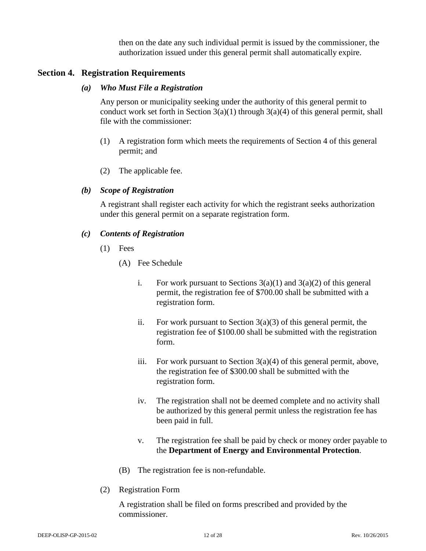then on the date any such individual permit is issued by the commissioner, the authorization issued under this general permit shall automatically expire.

## **Section 4. Registration Requirements**

#### *(a) Who Must File a Registration*

Any person or municipality seeking under the authority of this general permit to conduct work set forth in Section  $3(a)(1)$  through  $3(a)(4)$  of this general permit, shall file with the commissioner:

- (1) A registration form which meets the requirements of Section 4 of this general permit; and
- (2) The applicable fee.

## *(b) Scope of Registration*

A registrant shall register each activity for which the registrant seeks authorization under this general permit on a separate registration form.

#### *(c) Contents of Registration*

- (1) Fees
	- (A) Fee Schedule
		- i. For work pursuant to Sections  $3(a)(1)$  and  $3(a)(2)$  of this general permit, the registration fee of \$700.00 shall be submitted with a registration form.
		- ii. For work pursuant to Section  $3(a)(3)$  of this general permit, the registration fee of \$100.00 shall be submitted with the registration form.
		- iii. For work pursuant to Section  $3(a)(4)$  of this general permit, above, the registration fee of \$300.00 shall be submitted with the registration form.
		- iv. The registration shall not be deemed complete and no activity shall be authorized by this general permit unless the registration fee has been paid in full.
		- v. The registration fee shall be paid by check or money order payable to the **Department of Energy and Environmental Protection**.
	- (B) The registration fee is non-refundable.
- (2) Registration Form

A registration shall be filed on forms prescribed and provided by the commissioner.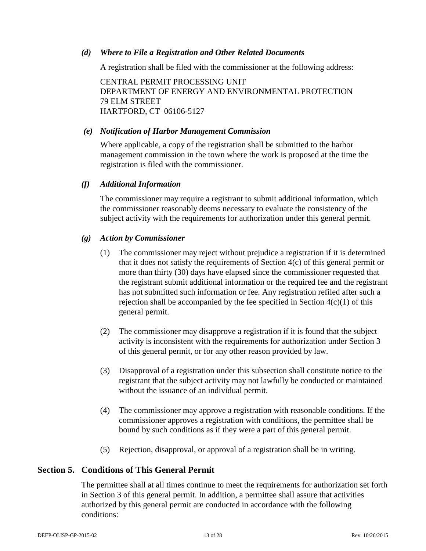#### *(d) Where to File a Registration and Other Related Documents*

A registration shall be filed with the commissioner at the following address:

CENTRAL PERMIT PROCESSING UNIT DEPARTMENT OF ENERGY AND ENVIRONMENTAL PROTECTION 79 ELM STREET HARTFORD, CT 06106-5127

#### *(e) Notification of Harbor Management Commission*

Where applicable, a copy of the registration shall be submitted to the harbor management commission in the town where the work is proposed at the time the registration is filed with the commissioner.

#### *(f) Additional Information*

The commissioner may require a registrant to submit additional information, which the commissioner reasonably deems necessary to evaluate the consistency of the subject activity with the requirements for authorization under this general permit.

## *(g) Action by Commissioner*

- (1) The commissioner may reject without prejudice a registration if it is determined that it does not satisfy the requirements of Section 4(c) of this general permit or more than thirty (30) days have elapsed since the commissioner requested that the registrant submit additional information or the required fee and the registrant has not submitted such information or fee. Any registration refiled after such a rejection shall be accompanied by the fee specified in Section  $4(c)(1)$  of this general permit.
- (2) The commissioner may disapprove a registration if it is found that the subject activity is inconsistent with the requirements for authorization under Section 3 of this general permit, or for any other reason provided by law.
- (3) Disapproval of a registration under this subsection shall constitute notice to the registrant that the subject activity may not lawfully be conducted or maintained without the issuance of an individual permit.
- (4) The commissioner may approve a registration with reasonable conditions. If the commissioner approves a registration with conditions, the permittee shall be bound by such conditions as if they were a part of this general permit.
- (5) Rejection, disapproval, or approval of a registration shall be in writing.

## **Section 5. Conditions of This General Permit**

The permittee shall at all times continue to meet the requirements for authorization set forth in Section 3 of this general permit. In addition, a permittee shall assure that activities authorized by this general permit are conducted in accordance with the following conditions: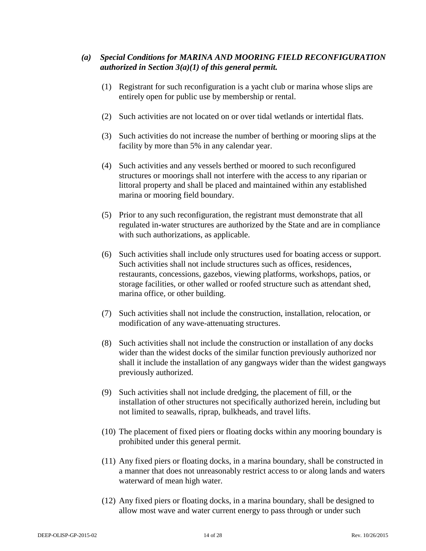## *(a) Special Conditions for MARINA AND MOORING FIELD RECONFIGURATION authorized in Section 3(a)(1) of this general permit.*

- (1) Registrant for such reconfiguration is a yacht club or marina whose slips are entirely open for public use by membership or rental.
- (2) Such activities are not located on or over tidal wetlands or intertidal flats.
- (3) Such activities do not increase the number of berthing or mooring slips at the facility by more than 5% in any calendar year.
- (4) Such activities and any vessels berthed or moored to such reconfigured structures or moorings shall not interfere with the access to any riparian or littoral property and shall be placed and maintained within any established marina or mooring field boundary.
- (5) Prior to any such reconfiguration, the registrant must demonstrate that all regulated in-water structures are authorized by the State and are in compliance with such authorizations, as applicable.
- (6) Such activities shall include only structures used for boating access or support. Such activities shall not include structures such as offices, residences, restaurants, concessions, gazebos, viewing platforms, workshops, patios, or storage facilities, or other walled or roofed structure such as attendant shed, marina office, or other building.
- (7) Such activities shall not include the construction, installation, relocation, or modification of any wave-attenuating structures.
- (8) Such activities shall not include the construction or installation of any docks wider than the widest docks of the similar function previously authorized nor shall it include the installation of any gangways wider than the widest gangways previously authorized.
- (9) Such activities shall not include dredging, the placement of fill, or the installation of other structures not specifically authorized herein, including but not limited to seawalls, riprap, bulkheads, and travel lifts.
- (10) The placement of fixed piers or floating docks within any mooring boundary is prohibited under this general permit.
- (11) Any fixed piers or floating docks, in a marina boundary, shall be constructed in a manner that does not unreasonably restrict access to or along lands and waters waterward of mean high water.
- (12) Any fixed piers or floating docks, in a marina boundary, shall be designed to allow most wave and water current energy to pass through or under such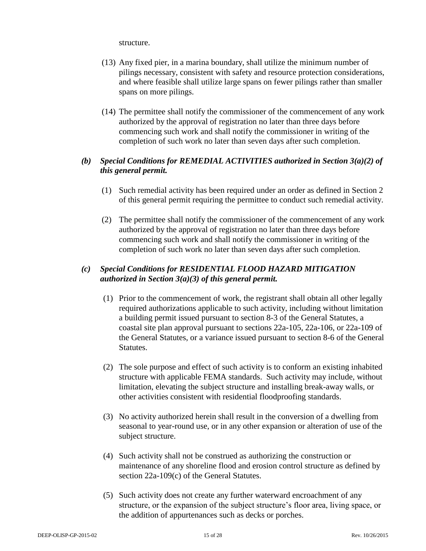structure.

- (13) Any fixed pier, in a marina boundary, shall utilize the minimum number of pilings necessary, consistent with safety and resource protection considerations, and where feasible shall utilize large spans on fewer pilings rather than smaller spans on more pilings.
- (14) The permittee shall notify the commissioner of the commencement of any work authorized by the approval of registration no later than three days before commencing such work and shall notify the commissioner in writing of the completion of such work no later than seven days after such completion.

## *(b) Special Conditions for REMEDIAL ACTIVITIES authorized in Section 3(a)(2) of this general permit.*

- (1) Such remedial activity has been required under an order as defined in Section 2 of this general permit requiring the permittee to conduct such remedial activity.
- (2) The permittee shall notify the commissioner of the commencement of any work authorized by the approval of registration no later than three days before commencing such work and shall notify the commissioner in writing of the completion of such work no later than seven days after such completion.

## *(c) Special Conditions for RESIDENTIAL FLOOD HAZARD MITIGATION authorized in Section 3(a)(3) of this general permit.*

- (1) Prior to the commencement of work, the registrant shall obtain all other legally required authorizations applicable to such activity, including without limitation a building permit issued pursuant to section 8-3 of the General Statutes, a coastal site plan approval pursuant to sections 22a-105, 22a-106, or 22a-109 of the General Statutes, or a variance issued pursuant to section 8-6 of the General Statutes.
- (2) The sole purpose and effect of such activity is to conform an existing inhabited structure with applicable FEMA standards. Such activity may include, without limitation, elevating the subject structure and installing break-away walls, or other activities consistent with residential floodproofing standards.
- (3) No activity authorized herein shall result in the conversion of a dwelling from seasonal to year-round use, or in any other expansion or alteration of use of the subject structure.
- (4) Such activity shall not be construed as authorizing the construction or maintenance of any shoreline flood and erosion control structure as defined by section 22a-109(c) of the General Statutes.
- (5) Such activity does not create any further waterward encroachment of any structure, or the expansion of the subject structure's floor area, living space, or the addition of appurtenances such as decks or porches.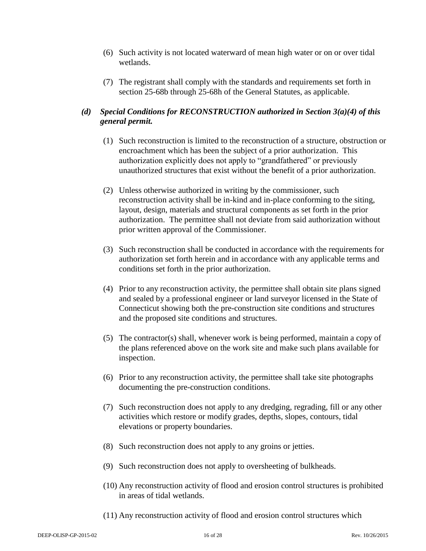- (6) Such activity is not located waterward of mean high water or on or over tidal wetlands.
- (7) The registrant shall comply with the standards and requirements set forth in section 25-68b through 25-68h of the General Statutes, as applicable.

## *(d) Special Conditions for RECONSTRUCTION authorized in Section 3(a)(4) of this general permit.*

- (1) Such reconstruction is limited to the reconstruction of a structure, obstruction or encroachment which has been the subject of a prior authorization. This authorization explicitly does not apply to "grandfathered" or previously unauthorized structures that exist without the benefit of a prior authorization.
- (2) Unless otherwise authorized in writing by the commissioner, such reconstruction activity shall be in-kind and in-place conforming to the siting, layout, design, materials and structural components as set forth in the prior authorization. The permittee shall not deviate from said authorization without prior written approval of the Commissioner.
- (3) Such reconstruction shall be conducted in accordance with the requirements for authorization set forth herein and in accordance with any applicable terms and conditions set forth in the prior authorization.
- (4) Prior to any reconstruction activity, the permittee shall obtain site plans signed and sealed by a professional engineer or land surveyor licensed in the State of Connecticut showing both the pre-construction site conditions and structures and the proposed site conditions and structures.
- (5) The contractor(s) shall, whenever work is being performed, maintain a copy of the plans referenced above on the work site and make such plans available for inspection.
- (6) Prior to any reconstruction activity, the permittee shall take site photographs documenting the pre-construction conditions.
- (7) Such reconstruction does not apply to any dredging, regrading, fill or any other activities which restore or modify grades, depths, slopes, contours, tidal elevations or property boundaries.
- (8) Such reconstruction does not apply to any groins or jetties.
- (9) Such reconstruction does not apply to oversheeting of bulkheads.
- (10) Any reconstruction activity of flood and erosion control structures is prohibited in areas of tidal wetlands.
- (11) Any reconstruction activity of flood and erosion control structures which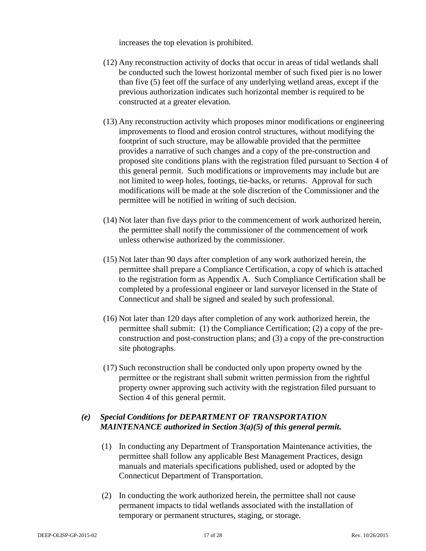increases the top elevation is prohibited.

- (12) Any reconstruction activity of docks that occur in areas of tidal wetlands shall be conducted such the lowest horizontal member of such fixed pier is no lower than five (5) feet off the surface of any underlying wetland areas, except if the previous authorization indicates such horizontal member is required to be constructed at a greater elevation.
- (13) Any reconstruction activity which proposes minor modifications or engineering improvements to flood and erosion control structures, without modifying the footprint of such structure, may be allowable provided that the permittee provides a narrative of such changes and a copy of the pre-construction and proposed site conditions plans with the registration filed pursuant to Section 4 of this general permit. Such modifications or improvements may include but are not limited to weep holes, footings, tie-backs, or returns. Approval for such modifications will be made at the sole discretion of the Commissioner and the permittee will be notified in writing of such decision.
- (14) Not later than five days prior to the commencement of work authorized herein, the permittee shall notify the commissioner of the commencement of work unless otherwise authorized by the commissioner.
- (15) Not later than 90 days after completion of any work authorized herein, the permittee shall prepare a Compliance Certification, a copy of which is attached to the registration form as Appendix A. Such Compliance Certification shall be completed by a professional engineer or land surveyor licensed in the State of Connecticut and shall be signed and sealed by such professional.
- (16) Not later than 120 days after completion of any work authorized herein, the permittee shall submit: (1) the Compliance Certification; (2) a copy of the preconstruction and post-construction plans; and (3) a copy of the pre-construction site photographs.
- (17) Such reconstruction shall be conducted only upon property owned by the permittee or the registrant shall submit written permission from the rightful property owner approving such activity with the registration filed pursuant to Section 4 of this general permit.

## *(e) Special Conditions for DEPARTMENT OF TRANSPORTATION MAINTENANCE authorized in Section 3(a)(5) of this general permit.*

- (1) In conducting any Department of Transportation Maintenance activities, the permittee shall follow any applicable Best Management Practices, design manuals and materials specifications published, used or adopted by the Connecticut Department of Transportation.
- (2) In conducting the work authorized herein, the permittee shall not cause permanent impacts to tidal wetlands associated with the installation of temporary or permanent structures, staging, or storage.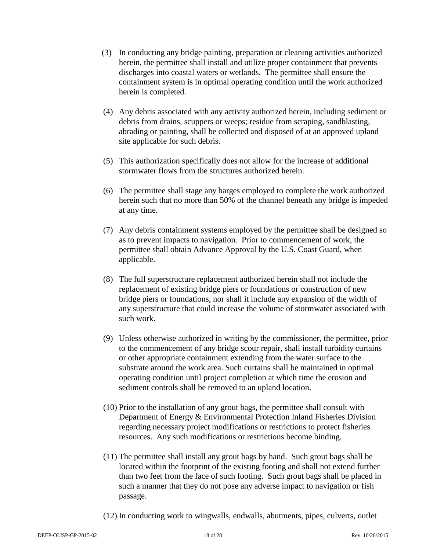- (3) In conducting any bridge painting, preparation or cleaning activities authorized herein, the permittee shall install and utilize proper containment that prevents discharges into coastal waters or wetlands. The permittee shall ensure the containment system is in optimal operating condition until the work authorized herein is completed.
- (4) Any debris associated with any activity authorized herein, including sediment or debris from drains, scuppers or weeps; residue from scraping, sandblasting, abrading or painting, shall be collected and disposed of at an approved upland site applicable for such debris.
- (5) This authorization specifically does not allow for the increase of additional stormwater flows from the structures authorized herein.
- (6) The permittee shall stage any barges employed to complete the work authorized herein such that no more than 50% of the channel beneath any bridge is impeded at any time.
- (7) Any debris containment systems employed by the permittee shall be designed so as to prevent impacts to navigation. Prior to commencement of work, the permittee shall obtain Advance Approval by the U.S. Coast Guard, when applicable.
- (8) The full superstructure replacement authorized herein shall not include the replacement of existing bridge piers or foundations or construction of new bridge piers or foundations, nor shall it include any expansion of the width of any superstructure that could increase the volume of stormwater associated with such work.
- (9) Unless otherwise authorized in writing by the commissioner, the permittee, prior to the commencement of any bridge scour repair, shall install turbidity curtains or other appropriate containment extending from the water surface to the substrate around the work area. Such curtains shall be maintained in optimal operating condition until project completion at which time the erosion and sediment controls shall be removed to an upland location.
- (10) Prior to the installation of any grout bags, the permittee shall consult with Department of Energy & Environmental Protection Inland Fisheries Division regarding necessary project modifications or restrictions to protect fisheries resources. Any such modifications or restrictions become binding.
- (11) The permittee shall install any grout bags by hand. Such grout bags shall be located within the footprint of the existing footing and shall not extend further than two feet from the face of such footing. Such grout bags shall be placed in such a manner that they do not pose any adverse impact to navigation or fish passage.
- (12) In conducting work to wingwalls, endwalls, abutments, pipes, culverts, outlet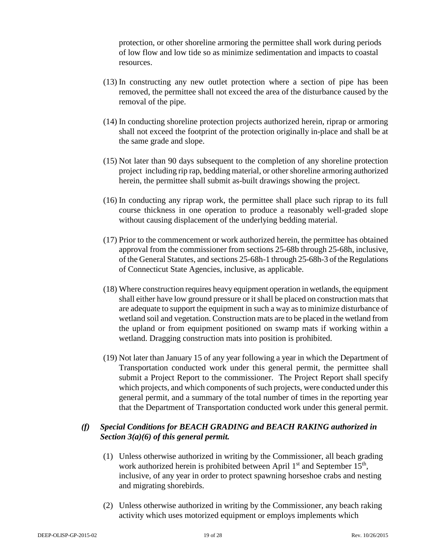protection, or other shoreline armoring the permittee shall work during periods of low flow and low tide so as minimize sedimentation and impacts to coastal resources.

- (13) In constructing any new outlet protection where a section of pipe has been removed, the permittee shall not exceed the area of the disturbance caused by the removal of the pipe.
- (14) In conducting shoreline protection projects authorized herein, riprap or armoring shall not exceed the footprint of the protection originally in-place and shall be at the same grade and slope.
- (15) Not later than 90 days subsequent to the completion of any shoreline protection project including rip rap, bedding material, or other shoreline armoring authorized herein, the permittee shall submit as-built drawings showing the project.
- (16) In conducting any riprap work, the permittee shall place such riprap to its full course thickness in one operation to produce a reasonably well-graded slope without causing displacement of the underlying bedding material.
- (17) Prior to the commencement or work authorized herein, the permittee has obtained approval from the commissioner from sections 25-68b through 25-68h, inclusive, of the General Statutes, and sections 25-68h-1 through 25-68h-3 of the Regulations of Connecticut State Agencies, inclusive, as applicable.
- (18) Where construction requires heavy equipment operation in wetlands, the equipment shall either have low ground pressure or it shall be placed on construction mats that are adequate to support the equipment in such a way as to minimize disturbance of wetland soil and vegetation. Construction mats are to be placed in the wetland from the upland or from equipment positioned on swamp mats if working within a wetland. Dragging construction mats into position is prohibited.
- (19) Not later than January 15 of any year following a year in which the Department of Transportation conducted work under this general permit, the permittee shall submit a Project Report to the commissioner. The Project Report shall specify which projects, and which components of such projects, were conducted under this general permit, and a summary of the total number of times in the reporting year that the Department of Transportation conducted work under this general permit.

## *(f) Special Conditions for BEACH GRADING and BEACH RAKING authorized in Section 3(a)(6) of this general permit.*

- (1) Unless otherwise authorized in writing by the Commissioner, all beach grading work authorized herein is prohibited between April  $1<sup>st</sup>$  and September  $15<sup>th</sup>$ , inclusive, of any year in order to protect spawning horseshoe crabs and nesting and migrating shorebirds.
- (2) Unless otherwise authorized in writing by the Commissioner, any beach raking activity which uses motorized equipment or employs implements which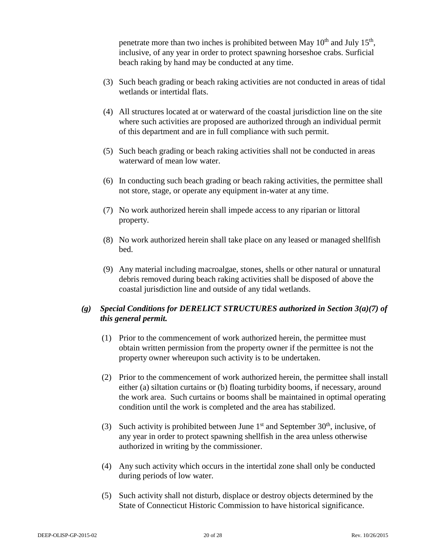penetrate more than two inches is prohibited between May  $10<sup>th</sup>$  and July  $15<sup>th</sup>$ , inclusive, of any year in order to protect spawning horseshoe crabs. Surficial beach raking by hand may be conducted at any time.

- (3) Such beach grading or beach raking activities are not conducted in areas of tidal wetlands or intertidal flats.
- (4) All structures located at or waterward of the coastal jurisdiction line on the site where such activities are proposed are authorized through an individual permit of this department and are in full compliance with such permit.
- (5) Such beach grading or beach raking activities shall not be conducted in areas waterward of mean low water.
- (6) In conducting such beach grading or beach raking activities, the permittee shall not store, stage, or operate any equipment in-water at any time.
- (7) No work authorized herein shall impede access to any riparian or littoral property.
- (8) No work authorized herein shall take place on any leased or managed shellfish bed.
- (9) Any material including macroalgae, stones, shells or other natural or unnatural debris removed during beach raking activities shall be disposed of above the coastal jurisdiction line and outside of any tidal wetlands.

## *(g) Special Conditions for DERELICT STRUCTURES authorized in Section 3(a)(7) of this general permit.*

- (1) Prior to the commencement of work authorized herein, the permittee must obtain written permission from the property owner if the permittee is not the property owner whereupon such activity is to be undertaken.
- (2) Prior to the commencement of work authorized herein, the permittee shall install either (a) siltation curtains or (b) floating turbidity booms, if necessary, around the work area. Such curtains or booms shall be maintained in optimal operating condition until the work is completed and the area has stabilized.
- (3) Such activity is prohibited between June  $1<sup>st</sup>$  and September 30<sup>th</sup>, inclusive, of any year in order to protect spawning shellfish in the area unless otherwise authorized in writing by the commissioner.
- (4) Any such activity which occurs in the intertidal zone shall only be conducted during periods of low water.
- (5) Such activity shall not disturb, displace or destroy objects determined by the State of Connecticut Historic Commission to have historical significance.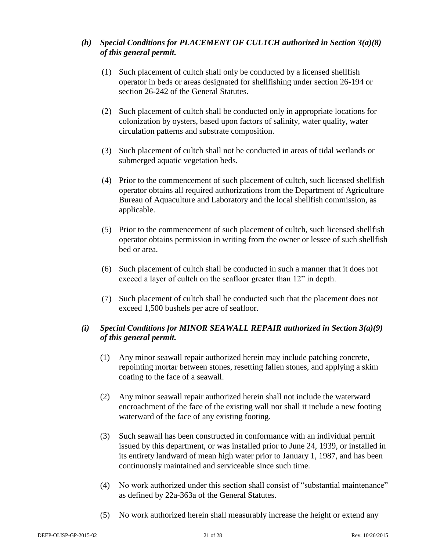## *(h) Special Conditions for PLACEMENT OF CULTCH authorized in Section 3(a)(8) of this general permit.*

- (1) Such placement of cultch shall only be conducted by a licensed shellfish operator in beds or areas designated for shellfishing under section 26-194 or section 26-242 of the General Statutes.
- (2) Such placement of cultch shall be conducted only in appropriate locations for colonization by oysters, based upon factors of salinity, water quality, water circulation patterns and substrate composition.
- (3) Such placement of cultch shall not be conducted in areas of tidal wetlands or submerged aquatic vegetation beds.
- (4) Prior to the commencement of such placement of cultch, such licensed shellfish operator obtains all required authorizations from the Department of Agriculture Bureau of Aquaculture and Laboratory and the local shellfish commission, as applicable.
- (5) Prior to the commencement of such placement of cultch, such licensed shellfish operator obtains permission in writing from the owner or lessee of such shellfish bed or area.
- (6) Such placement of cultch shall be conducted in such a manner that it does not exceed a layer of cultch on the seafloor greater than 12" in depth.
- (7) Such placement of cultch shall be conducted such that the placement does not exceed 1,500 bushels per acre of seafloor.

## *(i) Special Conditions for MINOR SEAWALL REPAIR authorized in Section 3(a)(9) of this general permit.*

- (1) Any minor seawall repair authorized herein may include patching concrete, repointing mortar between stones, resetting fallen stones, and applying a skim coating to the face of a seawall.
- (2) Any minor seawall repair authorized herein shall not include the waterward encroachment of the face of the existing wall nor shall it include a new footing waterward of the face of any existing footing.
- (3) Such seawall has been constructed in conformance with an individual permit issued by this department, or was installed prior to June 24, 1939, or installed in its entirety landward of mean high water prior to January 1, 1987, and has been continuously maintained and serviceable since such time.
- (4) No work authorized under this section shall consist of "substantial maintenance" as defined by 22a-363a of the General Statutes.
- (5) No work authorized herein shall measurably increase the height or extend any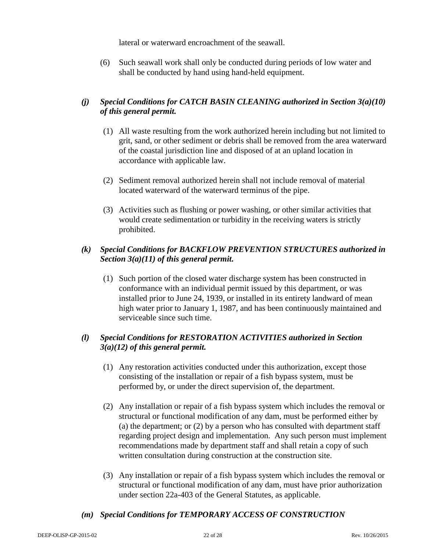lateral or waterward encroachment of the seawall.

(6) Such seawall work shall only be conducted during periods of low water and shall be conducted by hand using hand-held equipment.

## *(j) Special Conditions for CATCH BASIN CLEANING authorized in Section 3(a)(10) of this general permit.*

- (1) All waste resulting from the work authorized herein including but not limited to grit, sand, or other sediment or debris shall be removed from the area waterward of the coastal jurisdiction line and disposed of at an upland location in accordance with applicable law.
- (2) Sediment removal authorized herein shall not include removal of material located waterward of the waterward terminus of the pipe.
- (3) Activities such as flushing or power washing, or other similar activities that would create sedimentation or turbidity in the receiving waters is strictly prohibited.

## *(k) Special Conditions for BACKFLOW PREVENTION STRUCTURES authorized in Section 3(a)(11) of this general permit.*

(1) Such portion of the closed water discharge system has been constructed in conformance with an individual permit issued by this department, or was installed prior to June 24, 1939, or installed in its entirety landward of mean high water prior to January 1, 1987, and has been continuously maintained and serviceable since such time.

## *(l) Special Conditions for RESTORATION ACTIVITIES authorized in Section 3(a)(12) of this general permit.*

- (1) Any restoration activities conducted under this authorization, except those consisting of the installation or repair of a fish bypass system, must be performed by, or under the direct supervision of, the department.
- (2) Any installation or repair of a fish bypass system which includes the removal or structural or functional modification of any dam, must be performed either by (a) the department; or (2) by a person who has consulted with department staff regarding project design and implementation. Any such person must implement recommendations made by department staff and shall retain a copy of such written consultation during construction at the construction site.
- (3) Any installation or repair of a fish bypass system which includes the removal or structural or functional modification of any dam, must have prior authorization under section 22a-403 of the General Statutes, as applicable.

## *(m) Special Conditions for TEMPORARY ACCESS OF CONSTRUCTION*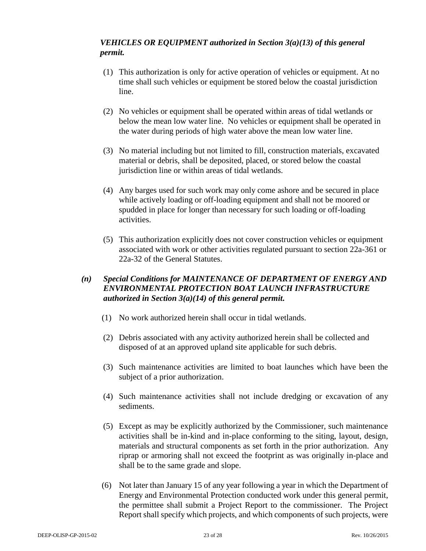## *VEHICLES OR EQUIPMENT authorized in Section 3(a)(13) of this general permit.*

- (1) This authorization is only for active operation of vehicles or equipment. At no time shall such vehicles or equipment be stored below the coastal jurisdiction line.
- (2) No vehicles or equipment shall be operated within areas of tidal wetlands or below the mean low water line. No vehicles or equipment shall be operated in the water during periods of high water above the mean low water line.
- (3) No material including but not limited to fill, construction materials, excavated material or debris, shall be deposited, placed, or stored below the coastal jurisdiction line or within areas of tidal wetlands.
- (4) Any barges used for such work may only come ashore and be secured in place while actively loading or off-loading equipment and shall not be moored or spudded in place for longer than necessary for such loading or off-loading activities.
- (5) This authorization explicitly does not cover construction vehicles or equipment associated with work or other activities regulated pursuant to section 22a-361 or 22a-32 of the General Statutes.

## *(n) Special Conditions for MAINTENANCE OF DEPARTMENT OF ENERGY AND ENVIRONMENTAL PROTECTION BOAT LAUNCH INFRASTRUCTURE authorized in Section 3(a)(14) of this general permit.*

- (1) No work authorized herein shall occur in tidal wetlands.
- (2) Debris associated with any activity authorized herein shall be collected and disposed of at an approved upland site applicable for such debris.
- (3) Such maintenance activities are limited to boat launches which have been the subject of a prior authorization.
- (4) Such maintenance activities shall not include dredging or excavation of any sediments.
- (5) Except as may be explicitly authorized by the Commissioner, such maintenance activities shall be in-kind and in-place conforming to the siting, layout, design, materials and structural components as set forth in the prior authorization. Any riprap or armoring shall not exceed the footprint as was originally in-place and shall be to the same grade and slope.
- (6) Not later than January 15 of any year following a year in which the Department of Energy and Environmental Protection conducted work under this general permit, the permittee shall submit a Project Report to the commissioner. The Project Report shall specify which projects, and which components of such projects, were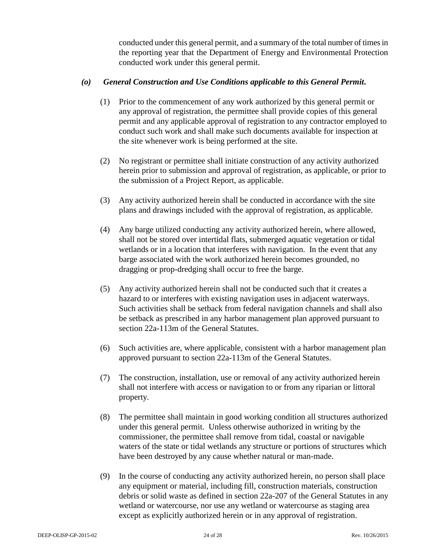conducted under this general permit, and a summary of the total number of times in the reporting year that the Department of Energy and Environmental Protection conducted work under this general permit.

## *(o) General Construction and Use Conditions applicable to this General Permit.*

- (1) Prior to the commencement of any work authorized by this general permit or any approval of registration, the permittee shall provide copies of this general permit and any applicable approval of registration to any contractor employed to conduct such work and shall make such documents available for inspection at the site whenever work is being performed at the site.
- (2) No registrant or permittee shall initiate construction of any activity authorized herein prior to submission and approval of registration, as applicable, or prior to the submission of a Project Report, as applicable.
- (3) Any activity authorized herein shall be conducted in accordance with the site plans and drawings included with the approval of registration, as applicable.
- (4) Any barge utilized conducting any activity authorized herein, where allowed, shall not be stored over intertidal flats, submerged aquatic vegetation or tidal wetlands or in a location that interferes with navigation. In the event that any barge associated with the work authorized herein becomes grounded, no dragging or prop-dredging shall occur to free the barge.
- (5) Any activity authorized herein shall not be conducted such that it creates a hazard to or interferes with existing navigation uses in adjacent waterways. Such activities shall be setback from federal navigation channels and shall also be setback as prescribed in any harbor management plan approved pursuant to section 22a-113m of the General Statutes.
- (6) Such activities are, where applicable, consistent with a harbor management plan approved pursuant to section 22a-113m of the General Statutes.
- (7) The construction, installation, use or removal of any activity authorized herein shall not interfere with access or navigation to or from any riparian or littoral property.
- (8) The permittee shall maintain in good working condition all structures authorized under this general permit. Unless otherwise authorized in writing by the commissioner, the permittee shall remove from tidal, coastal or navigable waters of the state or tidal wetlands any structure or portions of structures which have been destroyed by any cause whether natural or man-made.
- (9) In the course of conducting any activity authorized herein, no person shall place any equipment or material, including fill, construction materials, construction debris or solid waste as defined in section 22a-207 of the General Statutes in any wetland or watercourse, nor use any wetland or watercourse as staging area except as explicitly authorized herein or in any approval of registration.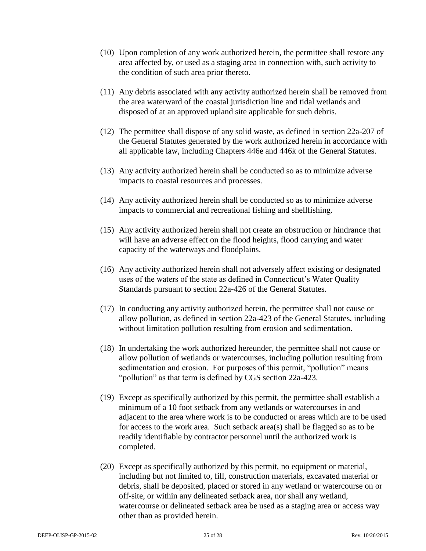- (10) Upon completion of any work authorized herein, the permittee shall restore any area affected by, or used as a staging area in connection with, such activity to the condition of such area prior thereto.
- (11) Any debris associated with any activity authorized herein shall be removed from the area waterward of the coastal jurisdiction line and tidal wetlands and disposed of at an approved upland site applicable for such debris.
- (12) The permittee shall dispose of any solid waste, as defined in section 22a-207 of the General Statutes generated by the work authorized herein in accordance with all applicable law, including Chapters 446e and 446k of the General Statutes.
- (13) Any activity authorized herein shall be conducted so as to minimize adverse impacts to coastal resources and processes.
- (14) Any activity authorized herein shall be conducted so as to minimize adverse impacts to commercial and recreational fishing and shellfishing.
- (15) Any activity authorized herein shall not create an obstruction or hindrance that will have an adverse effect on the flood heights, flood carrying and water capacity of the waterways and floodplains.
- (16) Any activity authorized herein shall not adversely affect existing or designated uses of the waters of the state as defined in Connecticut's Water Quality Standards pursuant to section 22a-426 of the General Statutes.
- (17) In conducting any activity authorized herein, the permittee shall not cause or allow pollution, as defined in section 22a-423 of the General Statutes, including without limitation pollution resulting from erosion and sedimentation.
- (18) In undertaking the work authorized hereunder, the permittee shall not cause or allow pollution of wetlands or watercourses, including pollution resulting from sedimentation and erosion. For purposes of this permit, "pollution" means "pollution" as that term is defined by CGS section 22a-423.
- (19) Except as specifically authorized by this permit, the permittee shall establish a minimum of a 10 foot setback from any wetlands or watercourses in and adjacent to the area where work is to be conducted or areas which are to be used for access to the work area. Such setback area(s) shall be flagged so as to be readily identifiable by contractor personnel until the authorized work is completed.
- (20) Except as specifically authorized by this permit, no equipment or material, including but not limited to, fill, construction materials, excavated material or debris, shall be deposited, placed or stored in any wetland or watercourse on or off-site, or within any delineated setback area, nor shall any wetland, watercourse or delineated setback area be used as a staging area or access way other than as provided herein.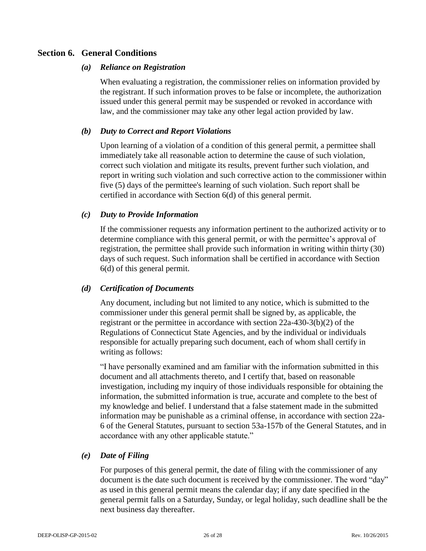## **Section 6. General Conditions**

#### *(a) Reliance on Registration*

When evaluating a registration, the commissioner relies on information provided by the registrant. If such information proves to be false or incomplete, the authorization issued under this general permit may be suspended or revoked in accordance with law, and the commissioner may take any other legal action provided by law.

## *(b) Duty to Correct and Report Violations*

Upon learning of a violation of a condition of this general permit, a permittee shall immediately take all reasonable action to determine the cause of such violation, correct such violation and mitigate its results, prevent further such violation, and report in writing such violation and such corrective action to the commissioner within five (5) days of the permittee's learning of such violation. Such report shall be certified in accordance with Section 6(d) of this general permit.

## *(c) Duty to Provide Information*

If the commissioner requests any information pertinent to the authorized activity or to determine compliance with this general permit, or with the permittee's approval of registration, the permittee shall provide such information in writing within thirty (30) days of such request. Such information shall be certified in accordance with Section 6(d) of this general permit.

## *(d) Certification of Documents*

Any document, including but not limited to any notice, which is submitted to the commissioner under this general permit shall be signed by, as applicable, the registrant or the permittee in accordance with section 22a-430-3(b)(2) of the Regulations of Connecticut State Agencies, and by the individual or individuals responsible for actually preparing such document, each of whom shall certify in writing as follows:

"I have personally examined and am familiar with the information submitted in this document and all attachments thereto, and I certify that, based on reasonable investigation, including my inquiry of those individuals responsible for obtaining the information, the submitted information is true, accurate and complete to the best of my knowledge and belief. I understand that a false statement made in the submitted information may be punishable as a criminal offense, in accordance with section 22a-6 of the General Statutes, pursuant to section 53a-157b of the General Statutes, and in accordance with any other applicable statute."

## *(e) Date of Filing*

For purposes of this general permit, the date of filing with the commissioner of any document is the date such document is received by the commissioner. The word "day" as used in this general permit means the calendar day; if any date specified in the general permit falls on a Saturday, Sunday, or legal holiday, such deadline shall be the next business day thereafter.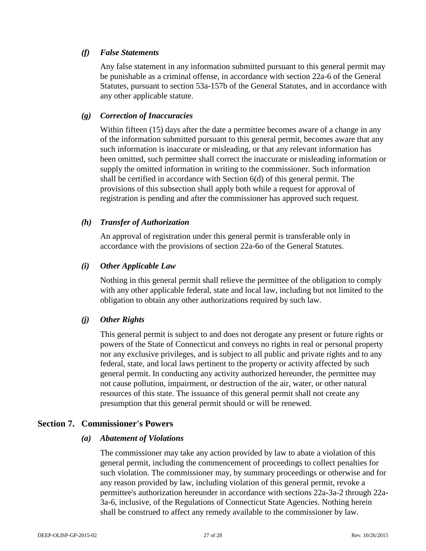## *(f) False Statements*

Any false statement in any information submitted pursuant to this general permit may be punishable as a criminal offense, in accordance with section 22a-6 of the General Statutes, pursuant to section 53a-157b of the General Statutes, and in accordance with any other applicable statute.

## *(g) Correction of Inaccuracies*

Within fifteen (15) days after the date a permittee becomes aware of a change in any of the information submitted pursuant to this general permit, becomes aware that any such information is inaccurate or misleading, or that any relevant information has been omitted, such permittee shall correct the inaccurate or misleading information or supply the omitted information in writing to the commissioner. Such information shall be certified in accordance with Section 6(d) of this general permit. The provisions of this subsection shall apply both while a request for approval of registration is pending and after the commissioner has approved such request.

## *(h) Transfer of Authorization*

An approval of registration under this general permit is transferable only in accordance with the provisions of section 22a-6o of the General Statutes.

## *(i) Other Applicable Law*

Nothing in this general permit shall relieve the permittee of the obligation to comply with any other applicable federal, state and local law, including but not limited to the obligation to obtain any other authorizations required by such law.

## *(j) Other Rights*

This general permit is subject to and does not derogate any present or future rights or powers of the State of Connecticut and conveys no rights in real or personal property nor any exclusive privileges, and is subject to all public and private rights and to any federal, state, and local laws pertinent to the property or activity affected by such general permit. In conducting any activity authorized hereunder, the permittee may not cause pollution, impairment, or destruction of the air, water, or other natural resources of this state. The issuance of this general permit shall not create any presumption that this general permit should or will be renewed.

## **Section 7. Commissioner's Powers**

## *(a) Abatement of Violations*

The commissioner may take any action provided by law to abate a violation of this general permit, including the commencement of proceedings to collect penalties for such violation. The commissioner may, by summary proceedings or otherwise and for any reason provided by law, including violation of this general permit, revoke a permittee's authorization hereunder in accordance with sections 22a-3a-2 through 22a-3a-6, inclusive, of the Regulations of Connecticut State Agencies. Nothing herein shall be construed to affect any remedy available to the commissioner by law.